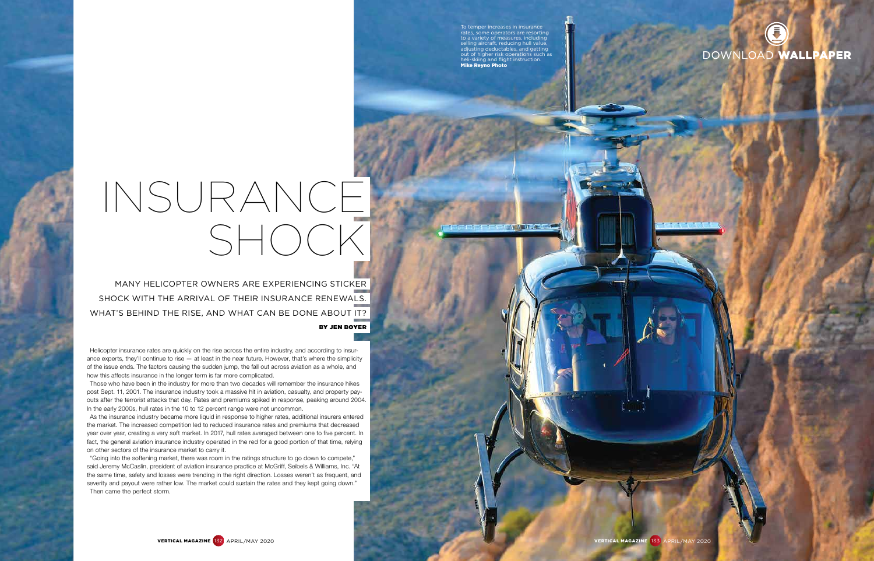MANY HELICOPTER OWNERS ARE EXPERIENCING STICKER SHOCK WITH THE ARRIVAL OF THEIR INSURANCE RENEWALS. WHAT'S BEHIND THE RISE, AND WHAT CAN BE DONE ABOUT IT?

# BY JEN BOYER

Helicopter insurance rates are quickly on the rise across the entire industry, and according to insurance experts, they'll continue to rise  $-$  at least in the near future. However, that's where the simplicity of the issue ends. The factors causing the sudden jump, the fall out across aviation as a whole, and how this affects insurance in the longer term is far more complicated.

Those who have been in the industry for more than two decades will remember the insurance hikes post Sept. 11, 2001. The insurance industry took a massive hit in aviation, casualty, and property payouts after the terrorist attacks that day. Rates and premiums spiked in response, peaking around 2004. In the early 2000s, hull rates in the 10 to 12 percent range were not uncommon.

As the insurance industry became more liquid in response to higher rates, additional insurers entered the market. The increased competition led to reduced insurance rates and premiums that decreased year over year, creating a very soft market. In 2017, hull rates averaged between one to five percent. In fact, the general aviation insurance industry operated in the red for a good portion of that time, relying on other sectors of the insurance market to carry it.

"Going into the softening market, there was room in the ratings structure to go down to compete," said Jeremy McCaslin, president of aviation insurance practice at McGriff, Seibels & Williams, Inc. "At the same time, safety and losses were trending in the right direction. Losses weren't as frequent, and severity and payout were rather low. The market could sustain the rates and they kept going down." Then came the perfect storm.



# INSURANCE SHOCK

To temper increases in insurance rates, some operators are resorting to a variety of measures, including selling aircraft, reducing hull value, adjusting deductables, and getting out of higher risk operations such as helion contribution is a killing and flight instruction. Mike Reyno Photo

**ENTERNATIVE POINT AND RESIDENCE**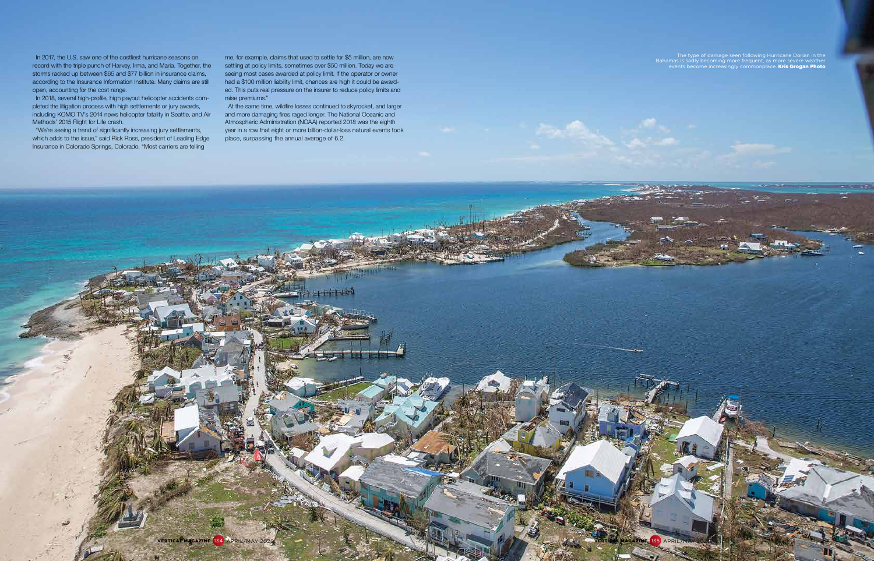In 2017, the U.S. saw one of the costliest hurricane seasons on record with the triple punch of Harvey, Irma, and Maria. Together, the storms racked up between \$65 and \$77 billion in insurance claims, according to the Insurance Information Institute. Many claims are still open, accounting for the cost range.

In 2018, several high-profile, high payout helicopter accidents completed the litigation process with high settlements or jury awards, including KOMO TV's 2014 news helicopter fatality in Seattle, and Air Methods' 2015 Flight for Life crash.

"We're seeing a trend of significantly increasing jury settlements, which adds to the issue," said Rick Ross, president of Leading Edge Insurance in Colorado Springs, Colorado. "Most carriers are telling

 The type of damage seen following Hurricane Dorian in the Bahamas is sadly becoming more frequent, as more severe weather events become increasingly commonplace. Kris Grogan Photo

me, for example, claims that used to settle for \$5 million, are now settling at policy limits, sometimes over \$50 million. Today we are seeing most cases awarded at policy limit. If the operator or owner had a \$100 million liability limit, chances are high it could be awarded. This puts real pressure on the insurer to reduce policy limits and raise premiums."

At the same time, wildfire losses continued to skyrocket, and larger and more damaging fires raged longer. The National Oceanic and Atmospheric Administration (NOAA) reported 2018 was the eighth year in a row that eight or more billion-dollar-loss natural events took place, surpassing the annual average of 6.2.

 $+14$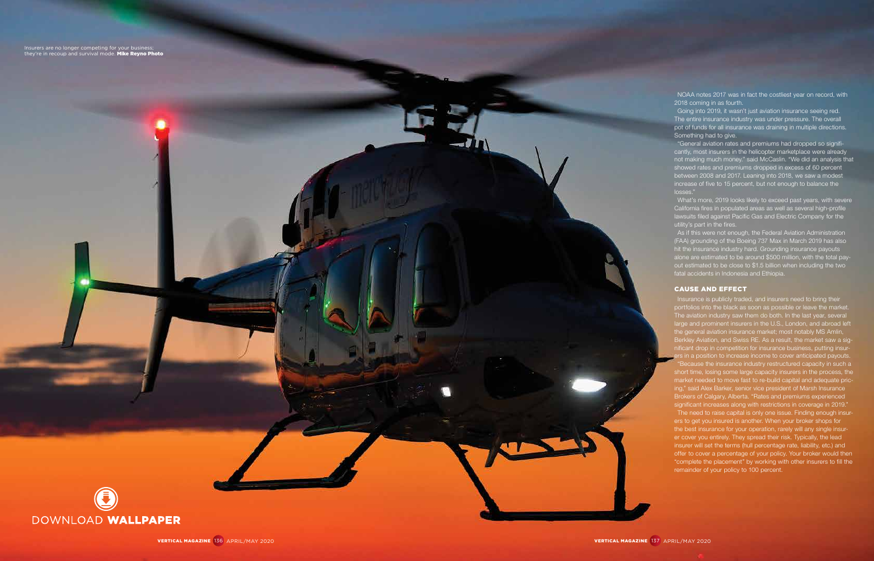VERTICAL MAGAZINE 136 APRIL/MAY 2020 VERTICAL MAGAZINE 137 APRIL/MAY 2020

NOAA notes 2017 was in fact the costliest year on record, with 2018 coming in as fourth.

Going into 2019, it wasn't just aviation insurance seeing red. The entire insurance industry was under pressure. The overall pot of funds for all insurance was draining in multiple directions. Something had to give.

"General aviation rates and premiums had dropped so significantly, most insurers in the helicopter marketplace were already not making much money." said McCaslin. "We did an analysis that showed rates and premiums dropped in excess of 60 percent between 2008 and 2017. Leaning into 2018, we saw a modest increase of five to 15 percent, but not enough to balance the losses."

As if this were not enough, the Federal Aviation Administration (FAA) grounding of the Boeing 737 Max in March 2019 has also hit the insurance industry hard. Grounding insurance payouts alone are estimated to be around \$500 million, with the total payout estimated to be close to \$1.5 billion when including the two fatal accidents in Indonesia and Ethiopia.

Insurance is publicly traded, and insurers need to bring their portfolios into the black as soon as possible or leave the market. The aviation industry saw them do both. In the last year, several large and prominent insurers in the U.S., London, and abroad left the general aviation insurance market; most notably MS Amlin, Berkley Aviation, and Swiss RE. As a result, the market saw a significant drop in competition for insurance business, putting insurrs in a position to increase income to cover anticipated payouts.

What's more, 2019 looks likely to exceed past years, with severe California fires in populated areas as well as several high-profile lawsuits filed against Pacific Gas and Electric Company for the utility's part in the fires.

## CAUSE AND EFFECT



"Because the insurance industry restructured capacity in such a short time, losing some large capacity insurers in the process, the market needed to move fast to re-build capital and adequate pricing," said Alex Barker, senior vice president of Marsh Insurance Brokers of Calgary, Alberta. "Rates and premiums experienced significant increases along with restrictions in coverage in 2019."

The need to raise capital is only one issue. Finding enough insurers to get you insured is another. When your broker shops for the best insurance for your operation, rarely will any single insurer cover you entirely. They spread their risk. Typically, the lead insurer will set the terms (hull percentage rate, liability, etc.) and offer to cover a percentage of your policy. Your broker would then "complete the placement" by working with other insurers to fill the remainder of your policy to 100 percent.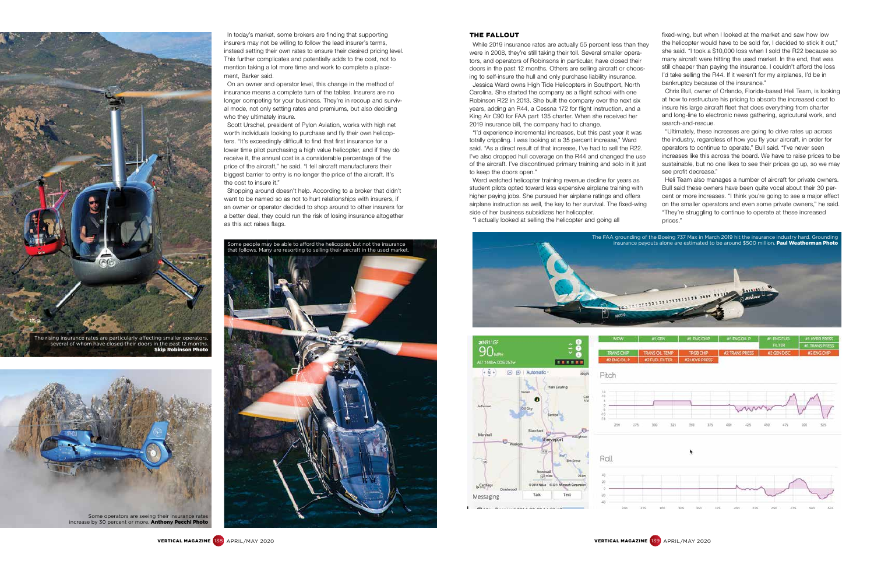On an owner and operator level, this change in the method of insurance means a complete turn of the tables. Insurers are no longer competing for your business. They're in recoup and survival mode, not only setting rates and premiums, but also deciding who they ultimately insure.

In today's market, some brokers are finding that supporting insurers may not be willing to follow the lead insurer's terms, instead setting their own rates to ensure their desired pricing level. This further complicates and potentially adds to the cost, not to mention taking a lot more time and work to complete a placement, Barker said.

Scott Urschel, president of Pylon Aviation, works with high net worth individuals looking to purchase and fly their own helicopters. "It's exceedingly difficult to find that first insurance for a lower time pilot purchasing a high value helicopter, and if they do receive it, the annual cost is a considerable percentage of the price of the aircraft," he said. "I tell aircraft manufacturers their biggest barrier to entry is no longer the price of the aircraft. It's the cost to insure it."

Shopping around doesn't help. According to a broker that didn't want to be named so as not to hurt relationships with insurers, if an owner or operator decided to shop around to other insurers for a better deal, they could run the risk of losing insurance altogether as this act raises flags.

### THE FALLOUT

While 2019 insurance rates are actually 55 percent less than they were in 2008, they're still taking their toll. Several smaller operators, and operators of Robinsons in particular, have closed their doors in the past 12 months. Others are selling aircraft or choosing to self-insure the hull and only purchase liability insurance.

Jessica Ward owns High Tide Helicopters in Southport, North Carolina. She started the company as a flight school with one Robinson R22 in 2013. She built the company over the next six years, adding an R44, a Cessna 172 for flight instruction, and a King Air C90 for FAA part 135 charter. When she received her 2019 insurance bill, the company had to change.

Some operators are seeing their insurance rates increase by 30 percent or more. Anthony Pecchi Photo

"I'd experience incremental increases, but this past year it was totally crippling. I was looking at a 35 percent increase," Ward said. "As a direct result of that increase, I've had to sell the R22. I've also dropped hull coverage on the R44 and changed the use of the aircraft. I've discontinued primary training and solo in it just to keep the doors open."

Ward watched helicopter training revenue decline for years as student pilots opted toward less expensive airplane training with higher paying jobs. She pursued her airplane ratings and offers airplane instruction as well, the key to her survival. The fixed-wing side of her business subsidizes her helicopter.

"I actually looked at selling the helicopter and going all

fixed-wing, but when I looked at the market and saw how low the helicopter would have to be sold for, I decided to stick it out," she said. "I took a \$10,000 loss when I sold the R22 because so many aircraft were hitting the used market. In the end, that was still cheaper than paying the insurance. I couldn't afford the loss I'd take selling the R44. If it weren't for my airplanes, I'd be in bankruptcy because of the insurance."

Chris Bull, owner of Orlando, Florida-based Heli Team, is looking at how to restructure his pricing to absorb the increased cost to insure his large aircraft fleet that does everything from charter and long-line to electronic news gathering, agricutural work, and search-and-rescue.

"Ultimately, these increases are going to drive rates up across the industry, regardless of how you fly your aircraft, in order for operators to continue to operate," Bull said. "I've never seen increases like this across the board. We have to raise prices to be sustainable, but no one likes to see their prices go up, so we may see profit decrease."

Heli Team also manages a number of aircraft for private owners. Bull said these owners have been quite vocal about their 30 percent or more increases. "I think you're going to see a major effect on the smaller operators and even some private owners," he said. "They're struggling to continue to operate at these increased prices."

| #1.GEN             | MENGENP MENGOLP            |                              | #1 ENGFUEL | <b>I #1 HYDR PRESS</b> |
|--------------------|----------------------------|------------------------------|------------|------------------------|
|                    |                            |                              | FILTER     | <b>IN TRANSPRESS</b>   |
| <b>IS OIL TEMP</b> | <b>TRGB CHIP</b>           | #2 TRANS PRESS   #2 GEN DISC |            | <b>M2 ENG CHIP</b>     |
|                    | THE ENTER I AP LINYD DOECE |                              |            |                        |











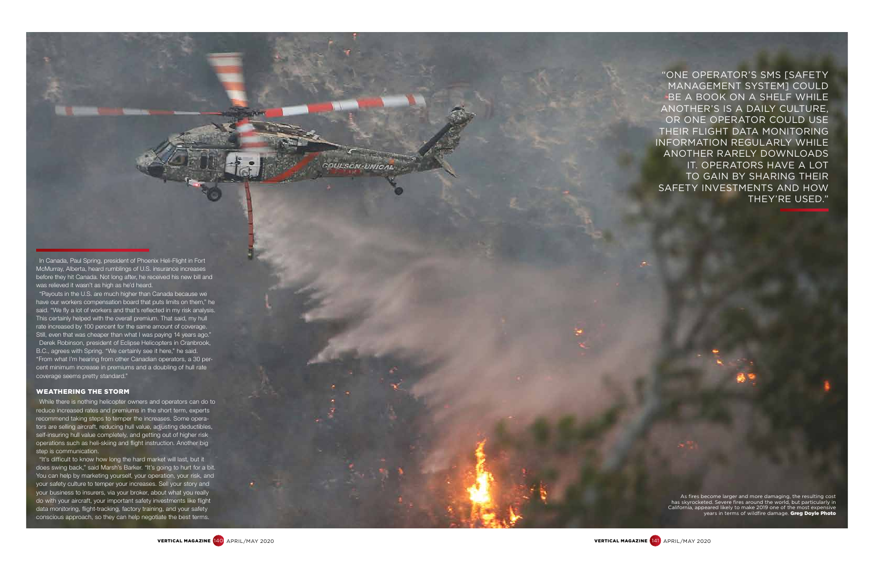In Canada, Paul Spring, president of Phoenix Heli-Flight in Fort McMurray, Alberta, heard rumblings of U.S. insurance increases before they hit Canada. Not long after, he received his new bill and was relieved it wasn't as high as he'd heard.

While there is nothing helicopter owners and operators can do to reduce increased rates and premiums in the short term, experts recommend taking steps to temper the increases. Some opera tors are selling aircraft, reducing hull value, adjusting deductibles, self-insuring hull value completely, and getting out of higher risk operations such as heli-skiing and flight instruction. Another big step is communication.

"Payouts in the U.S. are much higher than Canada because we have our workers compensation board that puts limits on them," he said. "We fly a lot of workers and that's reflected in my risk analysis. This certainly helped with the overall premium. That said, my hull rate increased by 100 percent for the same amount of coverage. Still, even that was cheaper than what I was paying 14 years ago." Derek Robinson, president of Eclipse Helicopters in Cranbrook, B.C., agrees with Spring. "We certainly see it here," he said. "From what I'm hearing from other Canadian operators, a 30 per cent minimum increase in premiums and a doubling of hull rate coverage seems pretty standard."

### WEATHERING THE STORM

As fires become larger and more damaging, the resulting cost has skyrocketed. Severe fires around the world, but particularly in California, appeared likely to make 2019 one of the most expensive years in terms of wildfire damage. Greg Doyle Photo

"It's difficult to know how long the hard market will last, but it does swing back," said Marsh's Barker. "It's going to hurt for a bit. You can help by marketing yourself, your operation, your risk, and your safety culture to temper your increases. Sell your story and your business to insurers, via your broker, about what you really do with your aircraft, your important safety investments like flight data monitoring, flight-tracking, factory training, and your safety conscious approach, so they can help negotiate the best terms.

**OULSON UNICAL** 

"ONE OPERATOR'S SMS [SAFETY MANAGEMENT SYSTEM] COULD BE A BOOK ON A SHELF WHILE ANOTHER'S IS A DAILY CULTURE, OR ONE OPERATOR COULD USE THEIR FLIGHT DATA MONITORING INFORMATION REGULARLY WHILE ANOTHER RARELY DOWNLOADS IT. OPERATORS HAVE A LOT TO GAIN BY SHARING THEIR SAFETY INVESTMENTS AND HOW THEY'RE USED."